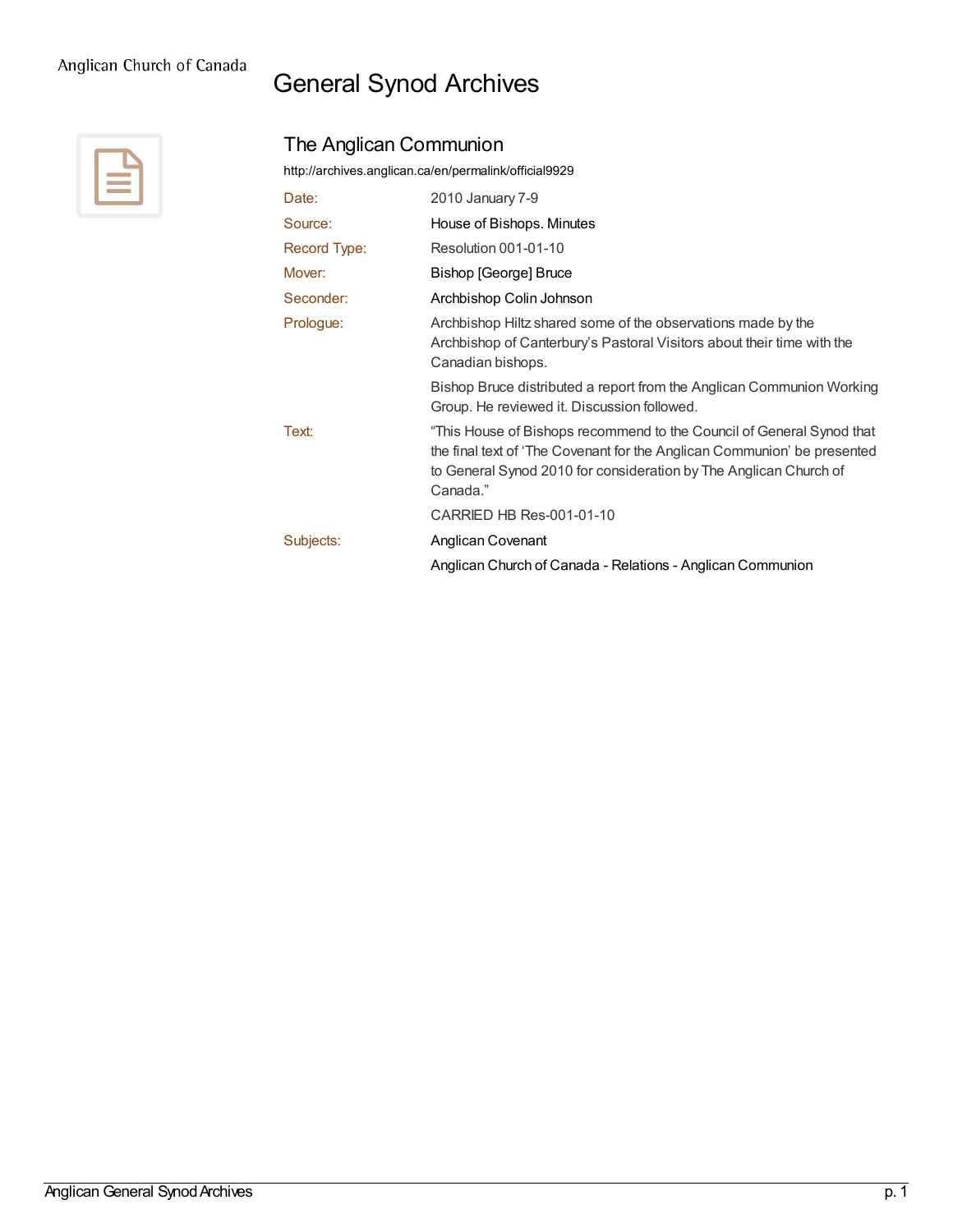## General Synod Archives



## The Anglican Communion

<http://archives.anglican.ca/en/permalink/official9929>

| Date:        | 2010 January 7-9                                                                                                                                                                                                                   |
|--------------|------------------------------------------------------------------------------------------------------------------------------------------------------------------------------------------------------------------------------------|
| Source:      | House of Bishops. Minutes                                                                                                                                                                                                          |
| Record Type: | Resolution 001-01-10                                                                                                                                                                                                               |
| Mover:       | Bishop [George] Bruce                                                                                                                                                                                                              |
| Seconder:    | Archbishop Colin Johnson                                                                                                                                                                                                           |
| Prologue:    | Archbishop Hiltz shared some of the observations made by the<br>Archbishop of Canterbury's Pastoral Visitors about their time with the<br>Canadian bishops.                                                                        |
|              | Bishop Bruce distributed a report from the Anglican Communion Working<br>Group. He reviewed it. Discussion followed.                                                                                                               |
| Text:        | "This House of Bishops recommend to the Council of General Synod that<br>the final text of 'The Covenant for the Anglican Communion' be presented<br>to General Synod 2010 for consideration by The Anglican Church of<br>Canada." |
|              | CARRIED HB Res-001-01-10                                                                                                                                                                                                           |
| Subjects:    | Anglican Covenant                                                                                                                                                                                                                  |
|              | Anglican Church of Canada - Relations - Anglican Communion                                                                                                                                                                         |